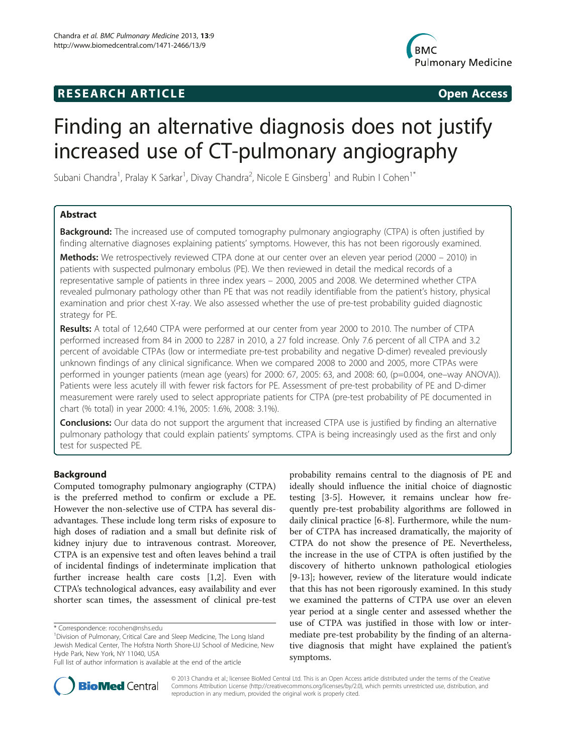## **RESEARCH ARTICLE Example 2014 CONSIDERING CONSIDERING CONSIDERING CONSIDERING CONSIDERING CONSIDERING CONSIDERING CONSIDERING CONSIDERING CONSIDERING CONSIDERING CONSIDERING CONSIDERING CONSIDERING CONSIDERING CONSIDE**



# Finding an alternative diagnosis does not justify increased use of CT-pulmonary angiography

Subani Chandra<sup>1</sup>, Pralay K Sarkar<sup>1</sup>, Divay Chandra<sup>2</sup>, Nicole E Ginsberg<sup>1</sup> and Rubin I Cohen<sup>1\*</sup>

## Abstract

**Background:** The increased use of computed tomography pulmonary angiography (CTPA) is often justified by finding alternative diagnoses explaining patients' symptoms. However, this has not been rigorously examined.

Methods: We retrospectively reviewed CTPA done at our center over an eleven year period (2000 – 2010) in patients with suspected pulmonary embolus (PE). We then reviewed in detail the medical records of a representative sample of patients in three index years – 2000, 2005 and 2008. We determined whether CTPA revealed pulmonary pathology other than PE that was not readily identifiable from the patient's history, physical examination and prior chest X-ray. We also assessed whether the use of pre-test probability guided diagnostic strategy for PE.

Results: A total of 12,640 CTPA were performed at our center from year 2000 to 2010. The number of CTPA performed increased from 84 in 2000 to 2287 in 2010, a 27 fold increase. Only 7.6 percent of all CTPA and 3.2 percent of avoidable CTPAs (low or intermediate pre-test probability and negative D-dimer) revealed previously unknown findings of any clinical significance. When we compared 2008 to 2000 and 2005, more CTPAs were performed in younger patients (mean age (years) for 2000: 67, 2005: 63, and 2008: 60, (p=0.004, one–way ANOVA)). Patients were less acutely ill with fewer risk factors for PE. Assessment of pre-test probability of PE and D-dimer measurement were rarely used to select appropriate patients for CTPA (pre-test probability of PE documented in chart (% total) in year 2000: 4.1%, 2005: 1.6%, 2008: 3.1%).

**Conclusions:** Our data do not support the argument that increased CTPA use is justified by finding an alternative pulmonary pathology that could explain patients' symptoms. CTPA is being increasingly used as the first and only test for suspected PE.

## Background

Computed tomography pulmonary angiography (CTPA) is the preferred method to confirm or exclude a PE. However the non-selective use of CTPA has several disadvantages. These include long term risks of exposure to high doses of radiation and a small but definite risk of kidney injury due to intravenous contrast. Moreover, CTPA is an expensive test and often leaves behind a trail of incidental findings of indeterminate implication that further increase health care costs [[1,2\]](#page-7-0). Even with CTPA's technological advances, easy availability and ever shorter scan times, the assessment of clinical pre-test

probability remains central to the diagnosis of PE and ideally should influence the initial choice of diagnostic testing [[3-5](#page-7-0)]. However, it remains unclear how frequently pre-test probability algorithms are followed in daily clinical practice [[6-8](#page-7-0)]. Furthermore, while the number of CTPA has increased dramatically, the majority of CTPA do not show the presence of PE. Nevertheless, the increase in the use of CTPA is often justified by the discovery of hitherto unknown pathological etiologies [[9-13](#page-7-0)]; however, review of the literature would indicate that this has not been rigorously examined. In this study we examined the patterns of CTPA use over an eleven year period at a single center and assessed whether the use of CTPA was justified in those with low or intermediate pre-test probability by the finding of an alternative diagnosis that might have explained the patient's symptoms.



© 2013 Chandra et al.; licensee BioMed Central Ltd. This is an Open Access article distributed under the terms of the Creative Commons Attribution License [\(http://creativecommons.org/licenses/by/2.0\)](http://creativecommons.org/licenses/by/2.0), which permits unrestricted use, distribution, and reproduction in any medium, provided the original work is properly cited.

<sup>\*</sup> Correspondence: [rocohen@nshs.edu](mailto:rocohen@nshs.edu) <sup>1</sup>

<sup>&</sup>lt;sup>1</sup> Division of Pulmonary, Critical Care and Sleep Medicine, The Long Island Jewish Medical Center, The Hofstra North Shore-LIJ School of Medicine, New Hyde Park, New York, NY 11040, USA

Full list of author information is available at the end of the article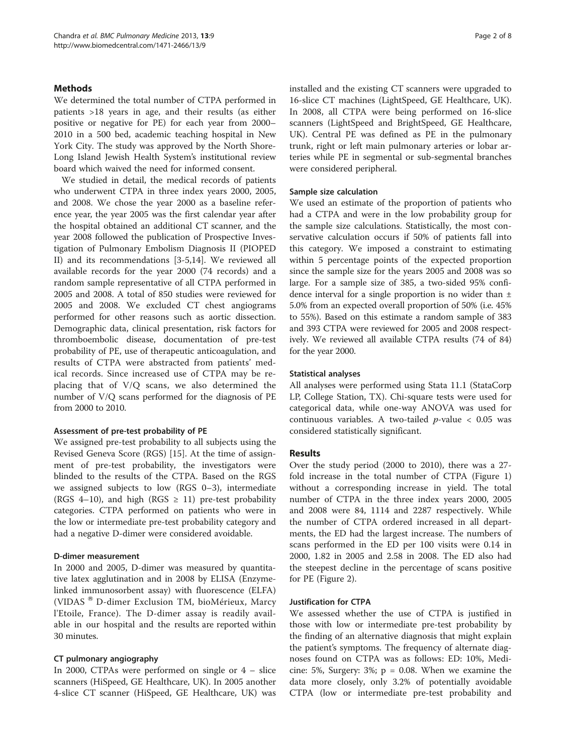## **Methods**

We determined the total number of CTPA performed in patients >18 years in age, and their results (as either positive or negative for PE) for each year from 2000– 2010 in a 500 bed, academic teaching hospital in New York City. The study was approved by the North Shore-Long Island Jewish Health System's institutional review board which waived the need for informed consent.

We studied in detail, the medical records of patients who underwent CTPA in three index years 2000, 2005, and 2008. We chose the year 2000 as a baseline reference year, the year 2005 was the first calendar year after the hospital obtained an additional CT scanner, and the year 2008 followed the publication of Prospective Investigation of Pulmonary Embolism Diagnosis II (PIOPED II) and its recommendations [\[3](#page-7-0)-[5,14\]](#page-7-0). We reviewed all available records for the year 2000 (74 records) and a random sample representative of all CTPA performed in 2005 and 2008. A total of 850 studies were reviewed for 2005 and 2008. We excluded CT chest angiograms performed for other reasons such as aortic dissection. Demographic data, clinical presentation, risk factors for thromboembolic disease, documentation of pre-test probability of PE, use of therapeutic anticoagulation, and results of CTPA were abstracted from patients' medical records. Since increased use of CTPA may be replacing that of V/Q scans, we also determined the number of V/Q scans performed for the diagnosis of PE from 2000 to 2010.

## Assessment of pre-test probability of PE

We assigned pre-test probability to all subjects using the Revised Geneva Score (RGS) [[15](#page-7-0)]. At the time of assignment of pre-test probability, the investigators were blinded to the results of the CTPA. Based on the RGS we assigned subjects to low (RGS 0–3), intermediate (RGS 4–10), and high (RGS  $\geq$  11) pre-test probability categories. CTPA performed on patients who were in the low or intermediate pre-test probability category and had a negative D-dimer were considered avoidable.

## D-dimer measurement

In 2000 and 2005, D-dimer was measured by quantitative latex agglutination and in 2008 by ELISA (Enzymelinked immunosorbent assay) with fluorescence (ELFA) (VIDAS<sup>®</sup> D-dimer Exclusion TM, bioMérieux, Marcy l'Etoile, France). The D-dimer assay is readily available in our hospital and the results are reported within 30 minutes.

## CT pulmonary angiography

In 2000, CTPAs were performed on single or 4 – slice scanners (HiSpeed, GE Healthcare, UK). In 2005 another 4-slice CT scanner (HiSpeed, GE Healthcare, UK) was installed and the existing CT scanners were upgraded to 16-slice CT machines (LightSpeed, GE Healthcare, UK). In 2008, all CTPA were being performed on 16-slice scanners (LightSpeed and BrightSpeed, GE Healthcare, UK). Central PE was defined as PE in the pulmonary trunk, right or left main pulmonary arteries or lobar arteries while PE in segmental or sub-segmental branches were considered peripheral.

## Sample size calculation

We used an estimate of the proportion of patients who had a CTPA and were in the low probability group for the sample size calculations. Statistically, the most conservative calculation occurs if 50% of patients fall into this category. We imposed a constraint to estimating within 5 percentage points of the expected proportion since the sample size for the years 2005 and 2008 was so large. For a sample size of 385, a two-sided 95% confidence interval for a single proportion is no wider than  $\pm$ 5.0% from an expected overall proportion of 50% (i.e. 45% to 55%). Based on this estimate a random sample of 383 and 393 CTPA were reviewed for 2005 and 2008 respectively. We reviewed all available CTPA results (74 of 84) for the year 2000.

#### Statistical analyses

All analyses were performed using Stata 11.1 (StataCorp LP, College Station, TX). Chi-square tests were used for categorical data, while one-way ANOVA was used for continuous variables. A two-tailed  $p$ -value < 0.05 was considered statistically significant.

## Results

Over the study period (2000 to 2010), there was a 27 fold increase in the total number of CTPA (Figure [1](#page-2-0)) without a corresponding increase in yield. The total number of CTPA in the three index years 2000, 2005 and 2008 were 84, 1114 and 2287 respectively. While the number of CTPA ordered increased in all departments, the ED had the largest increase. The numbers of scans performed in the ED per 100 visits were 0.14 in 2000, 1.82 in 2005 and 2.58 in 2008. The ED also had the steepest decline in the percentage of scans positive for PE (Figure [2](#page-2-0)).

## Justification for CTPA

We assessed whether the use of CTPA is justified in those with low or intermediate pre-test probability by the finding of an alternative diagnosis that might explain the patient's symptoms. The frequency of alternate diagnoses found on CTPA was as follows: ED: 10%, Medicine: 5%, Surgery:  $3\%$ ;  $p = 0.08$ . When we examine the data more closely, only 3.2% of potentially avoidable CTPA (low or intermediate pre-test probability and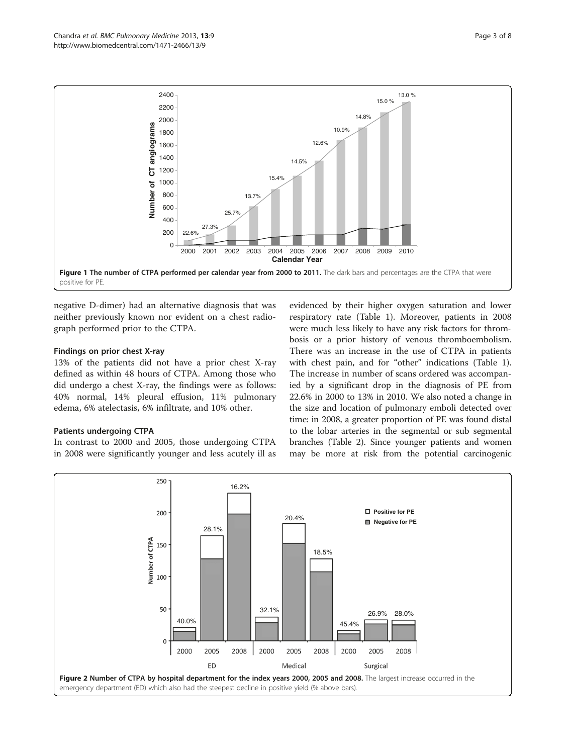<span id="page-2-0"></span>

negative D-dimer) had an alternative diagnosis that was neither previously known nor evident on a chest radiograph performed prior to the CTPA.

## Findings on prior chest X-ray

13% of the patients did not have a prior chest X-ray defined as within 48 hours of CTPA. Among those who did undergo a chest X-ray, the findings were as follows: 40% normal, 14% pleural effusion, 11% pulmonary edema, 6% atelectasis, 6% infiltrate, and 10% other.

## Patients undergoing CTPA

In contrast to 2000 and 2005, those undergoing CTPA in 2008 were significantly younger and less acutely ill as

evidenced by their higher oxygen saturation and lower respiratory rate (Table [1\)](#page-3-0). Moreover, patients in 2008 were much less likely to have any risk factors for thrombosis or a prior history of venous thromboembolism. There was an increase in the use of CTPA in patients with chest pain, and for "other" indications (Table [1](#page-3-0)). The increase in number of scans ordered was accompanied by a significant drop in the diagnosis of PE from 22.6% in 2000 to 13% in 2010. We also noted a change in the size and location of pulmonary emboli detected over time: in 2008, a greater proportion of PE was found distal to the lobar arteries in the segmental or sub segmental branches (Table [2\)](#page-4-0). Since younger patients and women may be more at risk from the potential carcinogenic

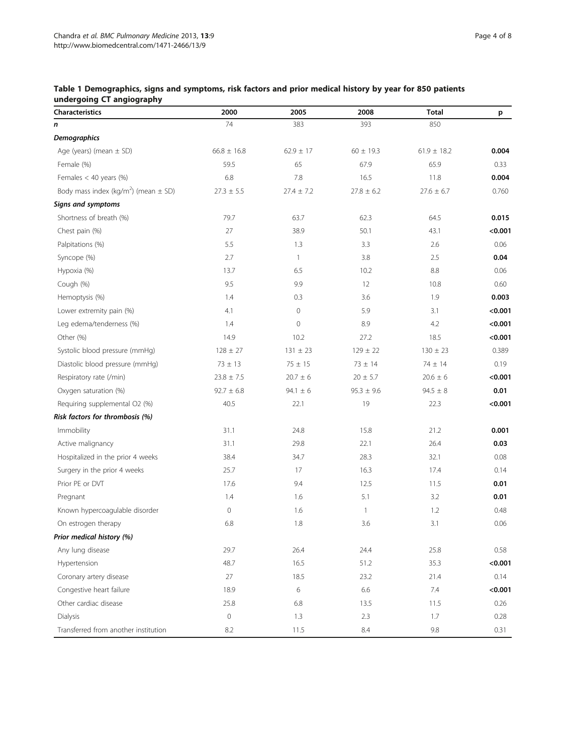<span id="page-3-0"></span>

| Table 1 Demographics, signs and symptoms, risk factors and prior medical history by year for 850 patients |  |  |  |  |
|-----------------------------------------------------------------------------------------------------------|--|--|--|--|
| undergoing CT angiography                                                                                 |  |  |  |  |

| <b>Characteristics</b>                               | 2000            | 2005           | 2008           | <b>Total</b>    | p       |
|------------------------------------------------------|-----------------|----------------|----------------|-----------------|---------|
| n                                                    | 74              | 383            | 393            | 850             |         |
| <b>Demographics</b>                                  |                 |                |                |                 |         |
| Age (years) (mean $\pm$ SD)                          | $66.8 \pm 16.8$ | $62.9 \pm 17$  | $60 \pm 19.3$  | $61.9 \pm 18.2$ | 0.004   |
| Female (%)                                           | 59.5            | 65             | 67.9           | 65.9            | 0.33    |
| Females $<$ 40 years (%)                             | 6.8             | 7.8            | 16.5           | 11.8            | 0.004   |
| Body mass index (kg/m <sup>2</sup> ) (mean $\pm$ SD) | $27.3 \pm 5.5$  | $27.4 \pm 7.2$ | $27.8 \pm 6.2$ | $27.6 \pm 6.7$  | 0.760   |
| <b>Signs and symptoms</b>                            |                 |                |                |                 |         |
| Shortness of breath (%)                              | 79.7            | 63.7           | 62.3           | 64.5            | 0.015   |
| Chest pain (%)                                       | 27              | 38.9           | 50.1           | 43.1            | < 0.001 |
| Palpitations (%)                                     | 5.5             | 1.3            | 3.3            | 2.6             | 0.06    |
| Syncope (%)                                          | 2.7             | $\mathbf{1}$   | 3.8            | 2.5             | 0.04    |
| Hypoxia (%)                                          | 13.7            | 6.5            | 10.2           | 8.8             | 0.06    |
| Cough (%)                                            | 9.5             | 9.9            | 12             | 10.8            | 0.60    |
| Hemoptysis (%)                                       | 1.4             | 0.3            | 3.6            | 1.9             | 0.003   |
| Lower extremity pain (%)                             | 4.1             | $\mathbf 0$    | 5.9            | 3.1             | < 0.001 |
| Leg edema/tenderness (%)                             | 1.4             | $\mathbf 0$    | 8.9            | 4.2             | < 0.001 |
| Other (%)                                            | 14.9            | 10.2           | 27.2           | 18.5            | < 0.001 |
| Systolic blood pressure (mmHg)                       | $128 \pm 27$    | $131 \pm 23$   | $129 \pm 22$   | $130 \pm 23$    | 0.389   |
| Diastolic blood pressure (mmHg)                      | $73 \pm 13$     | $75 \pm 15$    | $73 \pm 14$    | 74 ± 14         | 0.19    |
| Respiratory rate (/min)                              | $23.8 \pm 7.5$  | $20.7 \pm 6$   | $20 \pm 5.7$   | $20.6 \pm 6$    | < 0.001 |
| Oxygen saturation (%)                                | $92.7 \pm 6.8$  | $94.1 \pm 6$   | $95.3 \pm 9.6$ | $94.5 \pm 8$    | 0.01    |
| Requiring supplemental O2 (%)                        | 40.5            | 22.1           | 19             | 22.3            | < 0.001 |
| Risk factors for thrombosis (%)                      |                 |                |                |                 |         |
| Immobility                                           | 31.1            | 24.8           | 15.8           | 21.2            | 0.001   |
| Active malignancy                                    | 31.1            | 29.8           | 22.1           | 26.4            | 0.03    |
| Hospitalized in the prior 4 weeks                    | 38.4            | 34.7           | 28.3           | 32.1            | 0.08    |
| Surgery in the prior 4 weeks                         | 25.7            | 17             | 16.3           | 17.4            | 0.14    |
| Prior PE or DVT                                      | 17.6            | 9.4            | 12.5           | 11.5            | 0.01    |
| Pregnant                                             | 1.4             | 1.6            | 5.1            | 3.2             | 0.01    |
| Known hypercoagulable disorder                       | $\mathbf 0$     | 1.6            | $\mathbf{1}$   | 1.2             | 0.48    |
| On estrogen therapy                                  | 6.8             | 1.8            | 3.6            | 3.1             | 0.06    |
| Prior medical history (%)                            |                 |                |                |                 |         |
| Any lung disease                                     | 29.7            | 26.4           | 24.4           | 25.8            | 0.58    |
| Hypertension                                         | 48.7            | 16.5           | 51.2           | 35.3            | < 0.001 |
| Coronary artery disease                              | 27              | 18.5           | 23.2           | 21.4            | 0.14    |
| Congestive heart failure                             | 18.9            | 6              | 6.6            | 7.4             | < 0.001 |
| Other cardiac disease                                | 25.8            | 6.8            | 13.5           | 11.5            | 0.26    |
| Dialysis                                             | $\mathbf 0$     | 1.3            | 2.3            | 1.7             | 0.28    |
| Transferred from another institution                 | 8.2             | 11.5           | 8.4            | 9.8             | 0.31    |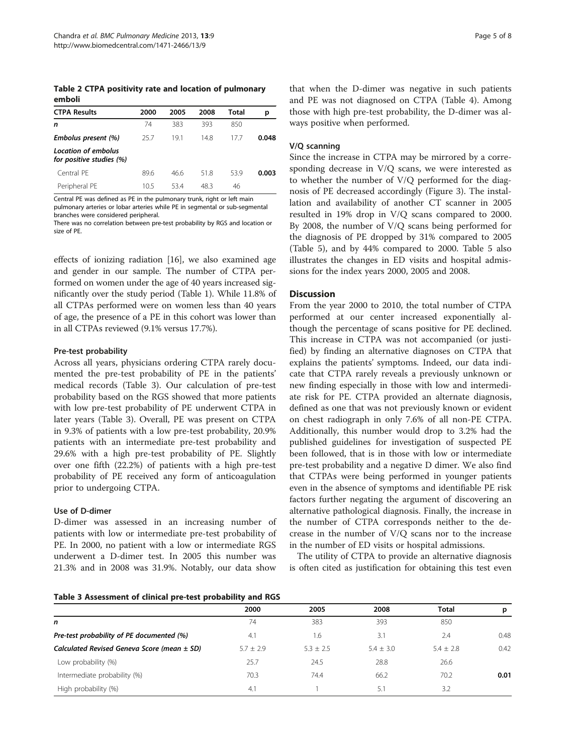<span id="page-4-0"></span>Table 2 CTPA positivity rate and location of pulmonary emboli

| <b>CTPA Results</b>                             | 2000 | 2005 | 2008 | Total | р     |
|-------------------------------------------------|------|------|------|-------|-------|
| n                                               | 74   | 383  | 393  | 850   |       |
| Embolus present (%)                             | 25.7 | 191  | 148  | 177   | 0.048 |
| Location of embolus<br>for positive studies (%) |      |      |      |       |       |
| Central PF                                      | 89.6 | 46.6 | 51.8 | 53.9  | 0.003 |
| Peripheral PE                                   | 10.5 | 534  | 48.3 | 46    |       |

Central PE was defined as PE in the pulmonary trunk, right or left main pulmonary arteries or lobar arteries while PE in segmental or sub-segmental

branches were considered peripheral. There was no correlation between pre-test probability by RGS and location or size of PE.

effects of ionizing radiation [\[16\]](#page-7-0), we also examined age and gender in our sample. The number of CTPA performed on women under the age of 40 years increased significantly over the study period (Table [1](#page-3-0)). While 11.8% of all CTPAs performed were on women less than 40 years of age, the presence of a PE in this cohort was lower than in all CTPAs reviewed (9.1% versus 17.7%).

## Pre-test probability

Across all years, physicians ordering CTPA rarely documented the pre-test probability of PE in the patients' medical records (Table 3). Our calculation of pre-test probability based on the RGS showed that more patients with low pre-test probability of PE underwent CTPA in later years (Table 3). Overall, PE was present on CTPA in 9.3% of patients with a low pre-test probability, 20.9% patients with an intermediate pre-test probability and 29.6% with a high pre-test probability of PE. Slightly over one fifth (22.2%) of patients with a high pre-test probability of PE received any form of anticoagulation prior to undergoing CTPA.

## Use of D-dimer

D-dimer was assessed in an increasing number of patients with low or intermediate pre-test probability of PE. In 2000, no patient with a low or intermediate RGS underwent a D-dimer test. In 2005 this number was 21.3% and in 2008 was 31.9%. Notably, our data show

#### Table 3 Assessment of clinical pre-test probability and RGS

that when the D-dimer was negative in such patients and PE was not diagnosed on CTPA (Table [4\)](#page-5-0). Among those with high pre-test probability, the D-dimer was always positive when performed.

#### V/Q scanning

Since the increase in CTPA may be mirrored by a corresponding decrease in V/Q scans, we were interested as to whether the number of V/Q performed for the diagnosis of PE decreased accordingly (Figure [3](#page-5-0)). The installation and availability of another CT scanner in 2005 resulted in 19% drop in V/Q scans compared to 2000. By 2008, the number of V/Q scans being performed for the diagnosis of PE dropped by 31% compared to 2005 (Table [5](#page-6-0)), and by 44% compared to 2000. Table [5](#page-6-0) also illustrates the changes in ED visits and hospital admissions for the index years 2000, 2005 and 2008.

#### **Discussion**

From the year 2000 to 2010, the total number of CTPA performed at our center increased exponentially although the percentage of scans positive for PE declined. This increase in CTPA was not accompanied (or justified) by finding an alternative diagnoses on CTPA that explains the patients' symptoms. Indeed, our data indicate that CTPA rarely reveals a previously unknown or new finding especially in those with low and intermediate risk for PE. CTPA provided an alternate diagnosis, defined as one that was not previously known or evident on chest radiograph in only 7.6% of all non-PE CTPA. Additionally, this number would drop to 3.2% had the published guidelines for investigation of suspected PE been followed, that is in those with low or intermediate pre-test probability and a negative D dimer. We also find that CTPAs were being performed in younger patients even in the absence of symptoms and identifiable PE risk factors further negating the argument of discovering an alternative pathological diagnosis. Finally, the increase in the number of CTPA corresponds neither to the decrease in the number of V/Q scans nor to the increase in the number of ED visits or hospital admissions.

The utility of CTPA to provide an alternative diagnosis is often cited as justification for obtaining this test even

|                                                 | 2000          | 2005        | 2008          | <b>Total</b>  | р    |
|-------------------------------------------------|---------------|-------------|---------------|---------------|------|
| n                                               | 74            | 383         | 393           | 850           |      |
| Pre-test probability of PE documented (%)       | 4.1           | 1.6         | 3.1           | 2.4           | 0.48 |
| Calculated Revised Geneva Score (mean $\pm$ SD) | $5.7 \pm 2.9$ | $5.3 + 2.5$ | $5.4 \pm 3.0$ | $5.4 \pm 2.8$ | 0.42 |
| Low probability (%)                             | 25.7          | 24.5        | 28.8          | 26.6          |      |
| Intermediate probability (%)                    | 70.3          | 74.4        | 66.2          | 70.2          | 0.01 |
| High probability (%)                            | 4.1           |             | 5.1           | 3.2           |      |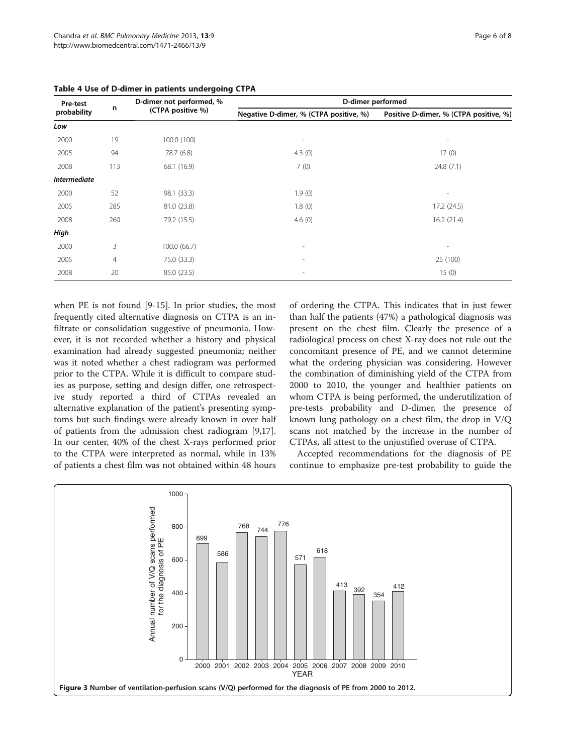| Pre-test                              |     | D-dimer not performed, %               | D-dimer performed                      |            |  |  |  |
|---------------------------------------|-----|----------------------------------------|----------------------------------------|------------|--|--|--|
| n<br>(CTPA positive %)<br>probability |     | Negative D-dimer, % (CTPA positive, %) | Positive D-dimer, % (CTPA positive, %) |            |  |  |  |
| Low                                   |     |                                        |                                        |            |  |  |  |
| 2000                                  | 19  | 100.0 (100)                            |                                        |            |  |  |  |
| 2005                                  | 94  | 78.7 (6.8)                             | 4.3(0)                                 | 17(0)      |  |  |  |
| 2008                                  | 113 | 68.1 (16.9)                            | 7(0)                                   | 24.8(7.1)  |  |  |  |
| <b>Intermediate</b>                   |     |                                        |                                        |            |  |  |  |
| 2000                                  | 52  | 98.1 (33.3)                            | 1.9(0)                                 | ٠          |  |  |  |
| 2005                                  | 285 | 81.0 (23.8)                            | 1.8(0)                                 | 17.2(24.5) |  |  |  |
| 2008                                  | 260 | 79.2 (15.5)                            | 4.6 $(0)$                              | 16.2(21.4) |  |  |  |
| High                                  |     |                                        |                                        |            |  |  |  |
| 2000                                  | 3   | 100.0 (66.7)                           | $\overline{\phantom{a}}$               | ٠          |  |  |  |
| 2005                                  | 4   | 75.0 (33.3)                            | ۰                                      | 25 (100)   |  |  |  |
| 2008                                  | 20  | 85.0 (23.5)                            |                                        | 15(0)      |  |  |  |

<span id="page-5-0"></span>Table 4 Use of D-dimer in patients undergoing CTPA

when PE is not found [[9-15\]](#page-7-0). In prior studies, the most frequently cited alternative diagnosis on CTPA is an infiltrate or consolidation suggestive of pneumonia. However, it is not recorded whether a history and physical examination had already suggested pneumonia; neither was it noted whether a chest radiogram was performed prior to the CTPA. While it is difficult to compare studies as purpose, setting and design differ, one retrospective study reported a third of CTPAs revealed an alternative explanation of the patient's presenting symptoms but such findings were already known in over half of patients from the admission chest radiogram [\[9,17](#page-7-0)]. In our center, 40% of the chest X-rays performed prior to the CTPA were interpreted as normal, while in 13% of patients a chest film was not obtained within 48 hours

of ordering the CTPA. This indicates that in just fewer than half the patients (47%) a pathological diagnosis was present on the chest film. Clearly the presence of a radiological process on chest X-ray does not rule out the concomitant presence of PE, and we cannot determine what the ordering physician was considering. However the combination of diminishing yield of the CTPA from 2000 to 2010, the younger and healthier patients on whom CTPA is being performed, the underutilization of pre-tests probability and D-dimer, the presence of known lung pathology on a chest film, the drop in V/Q scans not matched by the increase in the number of CTPAs, all attest to the unjustified overuse of CTPA.

Accepted recommendations for the diagnosis of PE continue to emphasize pre-test probability to guide the

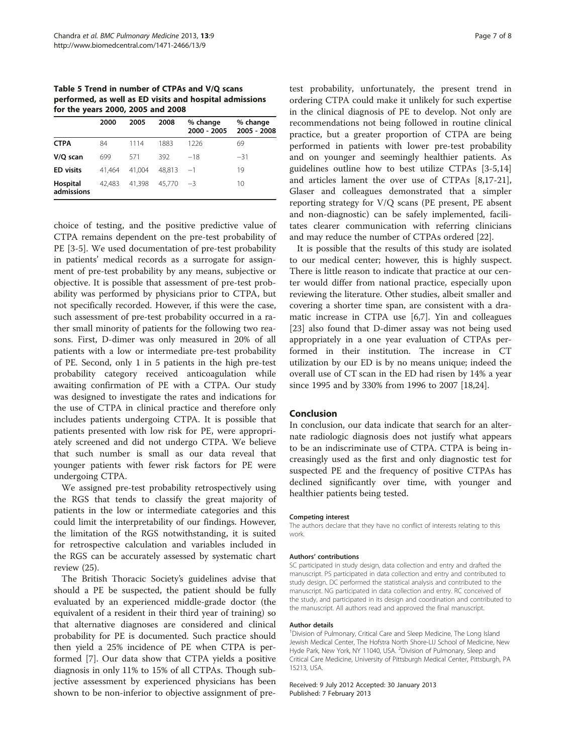<span id="page-6-0"></span>Table 5 Trend in number of CTPAs and V/Q scans performed, as well as ED visits and hospital admissions for the years 2000, 2005 and 2008

|                        | 2000   | 2005   | 2008   | % change<br>2000 - 2005 | % change<br>2005 - 2008 |
|------------------------|--------|--------|--------|-------------------------|-------------------------|
| <b>CTPA</b>            | 84     | 1114   | 1883   | 1226                    | 69                      |
| V/Q scan               | 699    | 571    | 392    | $-18$                   | $-31$                   |
| <b>ED</b> visits       | 41.464 | 41.004 | 48.813 | $-1$                    | 19                      |
| Hospital<br>admissions | 42,483 | 41.398 | 45.770 | $-3$                    | 10                      |

choice of testing, and the positive predictive value of CTPA remains dependent on the pre-test probability of PE [\[3](#page-7-0)-[5\]](#page-7-0). We used documentation of pre-test probability in patients' medical records as a surrogate for assignment of pre-test probability by any means, subjective or objective. It is possible that assessment of pre-test probability was performed by physicians prior to CTPA, but not specifically recorded. However, if this were the case, such assessment of pre-test probability occurred in a rather small minority of patients for the following two reasons. First, D-dimer was only measured in 20% of all patients with a low or intermediate pre-test probability of PE. Second, only 1 in 5 patients in the high pre-test probability category received anticoagulation while awaiting confirmation of PE with a CTPA. Our study was designed to investigate the rates and indications for the use of CTPA in clinical practice and therefore only includes patients undergoing CTPA. It is possible that patients presented with low risk for PE, were appropriately screened and did not undergo CTPA. We believe that such number is small as our data reveal that younger patients with fewer risk factors for PE were undergoing CTPA.

We assigned pre-test probability retrospectively using the RGS that tends to classify the great majority of patients in the low or intermediate categories and this could limit the interpretability of our findings. However, the limitation of the RGS notwithstanding, it is suited for retrospective calculation and variables included in the RGS can be accurately assessed by systematic chart review (25).

The British Thoracic Society's guidelines advise that should a PE be suspected, the patient should be fully evaluated by an experienced middle-grade doctor (the equivalent of a resident in their third year of training) so that alternative diagnoses are considered and clinical probability for PE is documented. Such practice should then yield a 25% incidence of PE when CTPA is performed [\[7](#page-7-0)]. Our data show that CTPA yields a positive diagnosis in only 11% to 15% of all CTPAs. Though subjective assessment by experienced physicians has been shown to be non-inferior to objective assignment of pretest probability, unfortunately, the present trend in ordering CTPA could make it unlikely for such expertise in the clinical diagnosis of PE to develop. Not only are recommendations not being followed in routine clinical practice, but a greater proportion of CTPA are being performed in patients with lower pre-test probability and on younger and seemingly healthier patients. As guidelines outline how to best utilize CTPAs [\[3-5](#page-7-0),[14](#page-7-0)] and articles lament the over use of CTPAs [[8,17-21](#page-7-0)], Glaser and colleagues demonstrated that a simpler reporting strategy for V/Q scans (PE present, PE absent and non-diagnostic) can be safely implemented, facilitates clearer communication with referring clinicians and may reduce the number of CTPAs ordered [[22\]](#page-7-0).

It is possible that the results of this study are isolated to our medical center; however, this is highly suspect. There is little reason to indicate that practice at our center would differ from national practice, especially upon reviewing the literature. Other studies, albeit smaller and covering a shorter time span, are consistent with a dramatic increase in CTPA use [[6](#page-7-0),[7\]](#page-7-0). Yin and colleagues [[23\]](#page-7-0) also found that D-dimer assay was not being used appropriately in a one year evaluation of CTPAs performed in their institution. The increase in CT utilization by our ED is by no means unique; indeed the overall use of CT scan in the ED had risen by 14% a year since 1995 and by 330% from 1996 to 2007 [\[18,24\]](#page-7-0).

### Conclusion

In conclusion, our data indicate that search for an alternate radiologic diagnosis does not justify what appears to be an indiscriminate use of CTPA. CTPA is being increasingly used as the first and only diagnostic test for suspected PE and the frequency of positive CTPAs has declined significantly over time, with younger and healthier patients being tested.

#### Competing interest

The authors declare that they have no conflict of interests relating to this work.

#### Authors' contributions

SC participated in study design, data collection and entry and drafted the manuscript. PS participated in data collection and entry and contributed to study design. DC performed the statistical analysis and contributed to the manuscript. NG participated in data collection and entry. RC conceived of the study, and participated in its design and coordination and contributed to the manuscript. All authors read and approved the final manuscript.

#### Author details

<sup>1</sup> Division of Pulmonary, Critical Care and Sleep Medicine, The Long Island Jewish Medical Center, The Hofstra North Shore-LIJ School of Medicine, New Hyde Park, New York, NY 11040, USA. <sup>2</sup>Division of Pulmonary, Sleep and Critical Care Medicine, University of Pittsburgh Medical Center, Pittsburgh, PA 15213, USA.

Received: 9 July 2012 Accepted: 30 January 2013 Published: 7 February 2013